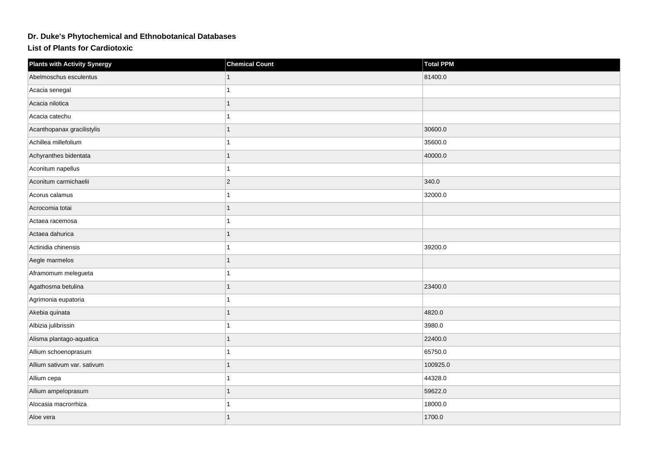## **Dr. Duke's Phytochemical and Ethnobotanical Databases**

**List of Plants for Cardiotoxic**

| <b>Plants with Activity Synergy</b> | <b>Chemical Count</b> | <b>Total PPM</b> |
|-------------------------------------|-----------------------|------------------|
| Abelmoschus esculentus              |                       | 81400.0          |
| Acacia senegal                      |                       |                  |
| Acacia nilotica                     | 1                     |                  |
| Acacia catechu                      |                       |                  |
| Acanthopanax gracilistylis          |                       | 30600.0          |
| Achillea millefolium                |                       | 35600.0          |
| Achyranthes bidentata               |                       | 40000.0          |
| Aconitum napellus                   |                       |                  |
| Aconitum carmichaelii               | $\overline{2}$        | 340.0            |
| Acorus calamus                      |                       | 32000.0          |
| Acrocomia totai                     |                       |                  |
| Actaea racemosa                     |                       |                  |
| Actaea dahurica                     |                       |                  |
| Actinidia chinensis                 |                       | 39200.0          |
| Aegle marmelos                      |                       |                  |
| Aframomum melegueta                 |                       |                  |
| Agathosma betulina                  | 1                     | 23400.0          |
| Agrimonia eupatoria                 |                       |                  |
| Akebia quinata                      |                       | 4820.0           |
| Albizia julibrissin                 |                       | 3980.0           |
| Alisma plantago-aquatica            |                       | 22400.0          |
| Allium schoenoprasum                |                       | 65750.0          |
| Allium sativum var. sativum         | 1                     | 100925.0         |
| Allium cepa                         |                       | 44328.0          |
| Allium ampeloprasum                 |                       | 59622.0          |
| Alocasia macrorrhiza                |                       | 18000.0          |
| Aloe vera                           |                       | 1700.0           |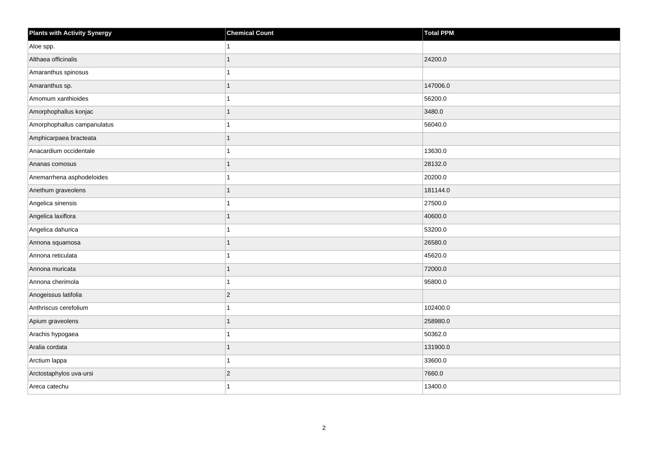| <b>Plants with Activity Synergy</b> | <b>Chemical Count</b> | <b>Total PPM</b> |
|-------------------------------------|-----------------------|------------------|
| Aloe spp.                           |                       |                  |
| Althaea officinalis                 |                       | 24200.0          |
| Amaranthus spinosus                 |                       |                  |
| Amaranthus sp.                      | 1                     | 147006.0         |
| Amomum xanthioides                  |                       | 56200.0          |
| Amorphophallus konjac               |                       | 3480.0           |
| Amorphophallus campanulatus         |                       | 56040.0          |
| Amphicarpaea bracteata              | 1                     |                  |
| Anacardium occidentale              |                       | 13630.0          |
| Ananas comosus                      | 1                     | 28132.0          |
| Anemarrhena asphodeloides           |                       | 20200.0          |
| Anethum graveolens                  |                       | 181144.0         |
| Angelica sinensis                   | 1                     | 27500.0          |
| Angelica laxiflora                  | 1                     | 40600.0          |
| Angelica dahurica                   |                       | 53200.0          |
| Annona squamosa                     | 1                     | 26580.0          |
| Annona reticulata                   |                       | 45620.0          |
| Annona muricata                     |                       | 72000.0          |
| Annona cherimola                    | 1                     | 95800.0          |
| Anogeissus latifolia                | $\overline{2}$        |                  |
| Anthriscus cerefolium               |                       | 102400.0         |
| Apium graveolens                    | 1                     | 258980.0         |
| Arachis hypogaea                    |                       | 50362.0          |
| Aralia cordata                      |                       | 131900.0         |
| Arctium lappa                       | 1                     | 33600.0          |
| Arctostaphylos uva-ursi             | $\overline{c}$        | 7660.0           |
| Areca catechu                       |                       | 13400.0          |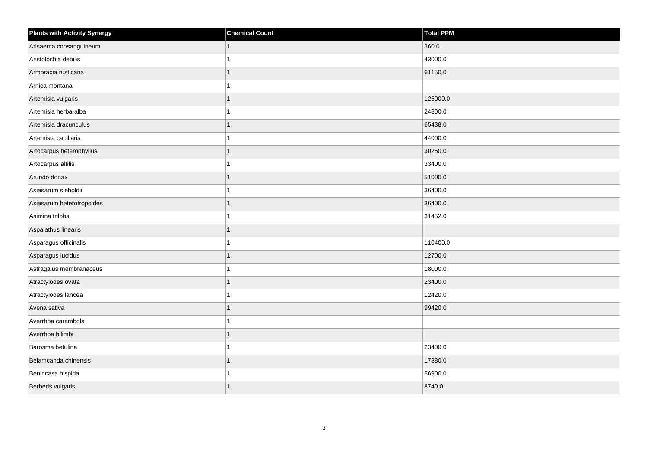| <b>Plants with Activity Synergy</b> | <b>Chemical Count</b> | Total PPM |
|-------------------------------------|-----------------------|-----------|
| Arisaema consanguineum              | 1                     | 360.0     |
| Aristolochia debilis                | 1                     | 43000.0   |
| Armoracia rusticana                 | 1                     | 61150.0   |
| Arnica montana                      | $\overline{1}$        |           |
| Artemisia vulgaris                  | 1                     | 126000.0  |
| Artemisia herba-alba                |                       | 24800.0   |
| Artemisia dracunculus               | 1                     | 65438.0   |
| Artemisia capillaris                | 1                     | 44000.0   |
| Artocarpus heterophyllus            |                       | 30250.0   |
| Artocarpus altilis                  | $\overline{1}$        | 33400.0   |
| Arundo donax                        | 1                     | 51000.0   |
| Asiasarum sieboldii                 |                       | 36400.0   |
| Asiasarum heterotropoides           | 1                     | 36400.0   |
| Asimina triloba                     | 1                     | 31452.0   |
| Aspalathus linearis                 |                       |           |
| Asparagus officinalis               | 1                     | 110400.0  |
| Asparagus lucidus                   |                       | 12700.0   |
| Astragalus membranaceus             |                       | 18000.0   |
| Atractylodes ovata                  | $\mathbf{1}$          | 23400.0   |
| Atractylodes lancea                 | 1                     | 12420.0   |
| Avena sativa                        |                       | 99420.0   |
| Averrhoa carambola                  | $\mathbf{1}$          |           |
| Averrhoa bilimbi                    |                       |           |
| Barosma betulina                    |                       | 23400.0   |
| Belamcanda chinensis                | 1                     | 17880.0   |
| Benincasa hispida                   | 1                     | 56900.0   |
| Berberis vulgaris                   | 1                     | 8740.0    |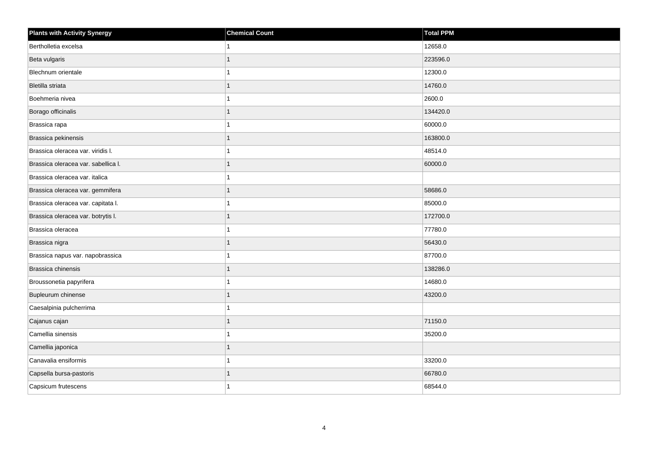| <b>Plants with Activity Synergy</b> | <b>Chemical Count</b> | <b>Total PPM</b> |
|-------------------------------------|-----------------------|------------------|
| Bertholletia excelsa                | 1                     | 12658.0          |
| Beta vulgaris                       | 1                     | 223596.0         |
| Blechnum orientale                  | 1                     | 12300.0          |
| Bletilla striata                    | 1                     | 14760.0          |
| Boehmeria nivea                     | 1                     | 2600.0           |
| Borago officinalis                  | $\mathbf{1}$          | 134420.0         |
| Brassica rapa                       | 1                     | 60000.0          |
| Brassica pekinensis                 | 1                     | 163800.0         |
| Brassica oleracea var. viridis I.   | 1                     | 48514.0          |
| Brassica oleracea var. sabellica I. | 1                     | 60000.0          |
| Brassica oleracea var. italica      | 1                     |                  |
| Brassica oleracea var. gemmifera    |                       | 58686.0          |
| Brassica oleracea var. capitata I.  | 1                     | 85000.0          |
| Brassica oleracea var. botrytis I.  | 1                     | 172700.0         |
| Brassica oleracea                   | 1                     | 77780.0          |
| Brassica nigra                      | 1                     | 56430.0          |
| Brassica napus var. napobrassica    | 1                     | 87700.0          |
| Brassica chinensis                  |                       | 138286.0         |
| Broussonetia papyrifera             | 1                     | 14680.0          |
| Bupleurum chinense                  |                       | 43200.0          |
| Caesalpinia pulcherrima             |                       |                  |
| Cajanus cajan                       | 1                     | 71150.0          |
| Camellia sinensis                   | 1                     | 35200.0          |
| Camellia japonica                   |                       |                  |
| Canavalia ensiformis                | $\mathbf{1}$          | 33200.0          |
| Capsella bursa-pastoris             |                       | 66780.0          |
| Capsicum frutescens                 | 1                     | 68544.0          |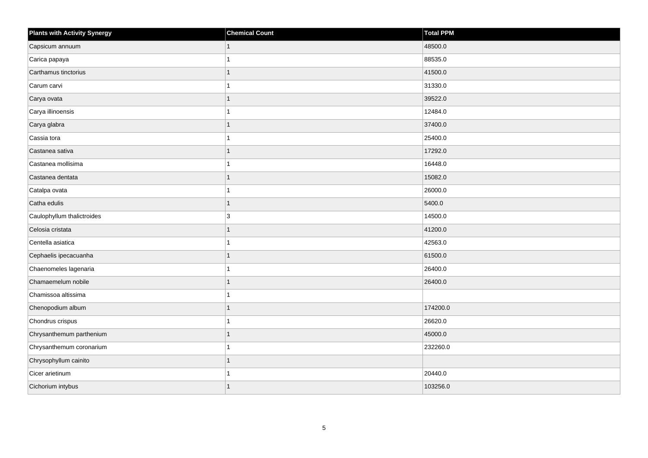| <b>Plants with Activity Synergy</b> | <b>Chemical Count</b> | <b>Total PPM</b> |
|-------------------------------------|-----------------------|------------------|
| Capsicum annuum                     |                       | 48500.0          |
| Carica papaya                       |                       | 88535.0          |
| Carthamus tinctorius                |                       | 41500.0          |
| Carum carvi                         |                       | 31330.0          |
| Carya ovata                         |                       | 39522.0          |
| Carya illinoensis                   |                       | 12484.0          |
| Carya glabra                        |                       | 37400.0          |
| Cassia tora                         |                       | 25400.0          |
| Castanea sativa                     |                       | 17292.0          |
| Castanea mollisima                  |                       | 16448.0          |
| Castanea dentata                    |                       | 15082.0          |
| Catalpa ovata                       |                       | 26000.0          |
| Catha edulis                        |                       | 5400.0           |
| Caulophyllum thalictroides          | 3                     | 14500.0          |
| Celosia cristata                    |                       | 41200.0          |
| Centella asiatica                   |                       | 42563.0          |
| Cephaelis ipecacuanha               |                       | 61500.0          |
| Chaenomeles lagenaria               |                       | 26400.0          |
| Chamaemelum nobile                  |                       | 26400.0          |
| Chamissoa altissima                 |                       |                  |
| Chenopodium album                   |                       | 174200.0         |
| Chondrus crispus                    |                       | 26620.0          |
| Chrysanthemum parthenium            |                       | 45000.0          |
| Chrysanthemum coronarium            |                       | 232260.0         |
| Chrysophyllum cainito               |                       |                  |
| Cicer arietinum                     |                       | 20440.0          |
| Cichorium intybus                   |                       | 103256.0         |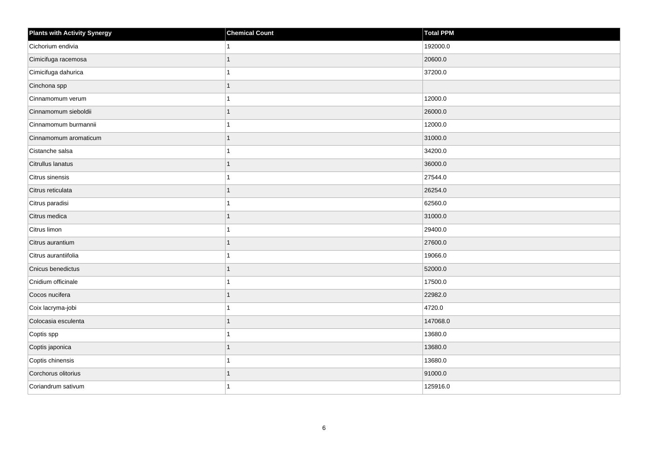| <b>Plants with Activity Synergy</b> | <b>Chemical Count</b> | Total PPM |
|-------------------------------------|-----------------------|-----------|
| Cichorium endivia                   |                       | 192000.0  |
| Cimicifuga racemosa                 |                       | 20600.0   |
| Cimicifuga dahurica                 |                       | 37200.0   |
| Cinchona spp                        |                       |           |
| Cinnamomum verum                    |                       | 12000.0   |
| Cinnamomum sieboldii                |                       | 26000.0   |
| Cinnamomum burmannii                |                       | 12000.0   |
| Cinnamomum aromaticum               |                       | 31000.0   |
| Cistanche salsa                     |                       | 34200.0   |
| Citrullus lanatus                   |                       | 36000.0   |
| Citrus sinensis                     |                       | 27544.0   |
| Citrus reticulata                   |                       | 26254.0   |
| Citrus paradisi                     |                       | 62560.0   |
| Citrus medica                       |                       | 31000.0   |
| Citrus limon                        |                       | 29400.0   |
| Citrus aurantium                    |                       | 27600.0   |
| Citrus aurantiifolia                |                       | 19066.0   |
| Cnicus benedictus                   |                       | 52000.0   |
| Cnidium officinale                  |                       | 17500.0   |
| Cocos nucifera                      |                       | 22982.0   |
| Coix lacryma-jobi                   |                       | 4720.0    |
| Colocasia esculenta                 | 1                     | 147068.0  |
| Coptis spp                          |                       | 13680.0   |
| Coptis japonica                     |                       | 13680.0   |
| Coptis chinensis                    |                       | 13680.0   |
| Corchorus olitorius                 |                       | 91000.0   |
| Coriandrum sativum                  |                       | 125916.0  |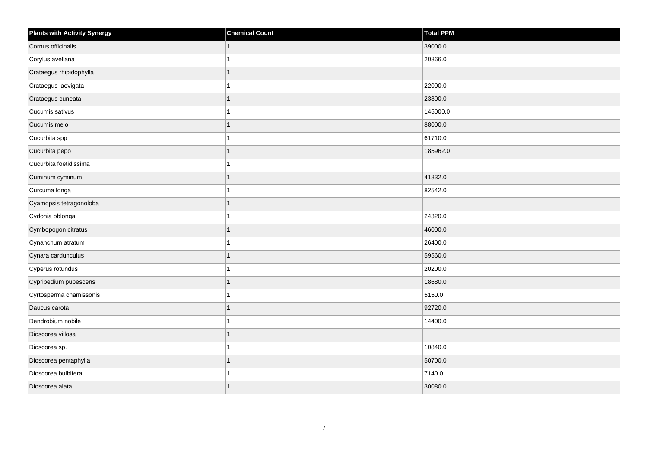| <b>Plants with Activity Synergy</b> | <b>Chemical Count</b> | <b>Total PPM</b> |
|-------------------------------------|-----------------------|------------------|
| Cornus officinalis                  |                       | 39000.0          |
| Corylus avellana                    |                       | 20866.0          |
| Crataegus rhipidophylla             |                       |                  |
| Crataegus laevigata                 |                       | 22000.0          |
| Crataegus cuneata                   |                       | 23800.0          |
| Cucumis sativus                     |                       | 145000.0         |
| Cucumis melo                        | 1                     | 88000.0          |
| Cucurbita spp                       |                       | 61710.0          |
| Cucurbita pepo                      |                       | 185962.0         |
| Cucurbita foetidissima              | 4                     |                  |
| Cuminum cyminum                     | 1                     | 41832.0          |
| Curcuma longa                       |                       | 82542.0          |
| Cyamopsis tetragonoloba             | 1                     |                  |
| Cydonia oblonga                     |                       | 24320.0          |
| Cymbopogon citratus                 |                       | 46000.0          |
| Cynanchum atratum                   |                       | 26400.0          |
| Cynara cardunculus                  |                       | 59560.0          |
| Cyperus rotundus                    |                       | 20200.0          |
| Cypripedium pubescens               | 1                     | 18680.0          |
| Cyrtosperma chamissonis             |                       | 5150.0           |
| Daucus carota                       |                       | 92720.0          |
| Dendrobium nobile                   |                       | 14400.0          |
| Dioscorea villosa                   |                       |                  |
| Dioscorea sp.                       |                       | 10840.0          |
| Dioscorea pentaphylla               | 1                     | 50700.0          |
| Dioscorea bulbifera                 |                       | 7140.0           |
| Dioscorea alata                     |                       | 30080.0          |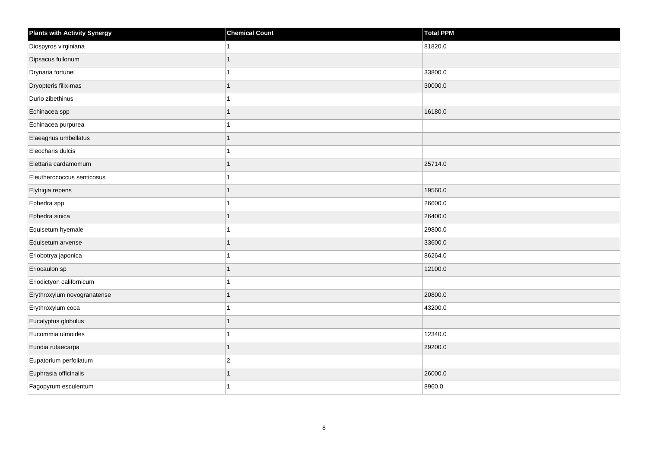| <b>Plants with Activity Synergy</b> | <b>Chemical Count</b> | Total PPM |
|-------------------------------------|-----------------------|-----------|
| Diospyros virginiana                |                       | 81820.0   |
| Dipsacus fullonum                   | 1                     |           |
| Drynaria fortunei                   | 1                     | 33800.0   |
| Dryopteris filix-mas                | $\overline{1}$        | 30000.0   |
| Durio zibethinus                    | 1                     |           |
| Echinacea spp                       | 1                     | 16180.0   |
| Echinacea purpurea                  | 1                     |           |
| Elaeagnus umbellatus                | 1                     |           |
| Eleocharis dulcis                   |                       |           |
| Elettaria cardamomum                | 1                     | 25714.0   |
| Eleutherococcus senticosus          |                       |           |
| Elytrigia repens                    | $\overline{1}$        | 19560.0   |
| Ephedra spp                         | 1                     | 26600.0   |
| Ephedra sinica                      | 1                     | 26400.0   |
| Equisetum hyemale                   |                       | 29800.0   |
| Equisetum arvense                   | $\overline{1}$        | 33600.0   |
| Eriobotrya japonica                 |                       | 86264.0   |
| Eriocaulon sp                       | 1                     | 12100.0   |
| Eriodictyon californicum            | 1                     |           |
| Erythroxylum novogranatense         | 1                     | 20800.0   |
| Erythroxylum coca                   |                       | 43200.0   |
| Eucalyptus globulus                 | $\overline{1}$        |           |
| Eucommia ulmoides                   |                       | 12340.0   |
| Euodia rutaecarpa                   | 1                     | 29200.0   |
| Eupatorium perfoliatum              | $\overline{c}$        |           |
| Euphrasia officinalis               | 1                     | 26000.0   |
| Fagopyrum esculentum                | 1                     | 8960.0    |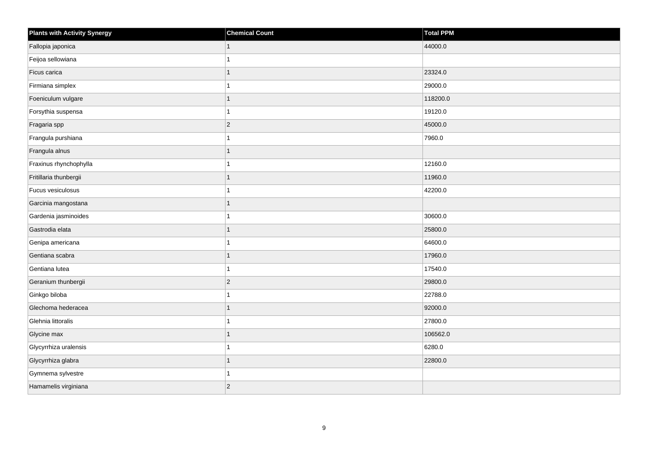| <b>Plants with Activity Synergy</b> | <b>Chemical Count</b> | Total PPM |
|-------------------------------------|-----------------------|-----------|
| Fallopia japonica                   |                       | 44000.0   |
| Feijoa sellowiana                   |                       |           |
| Ficus carica                        |                       | 23324.0   |
| Firmiana simplex                    |                       | 29000.0   |
| Foeniculum vulgare                  |                       | 118200.0  |
| Forsythia suspensa                  |                       | 19120.0   |
| Fragaria spp                        | $\overline{2}$        | 45000.0   |
| Frangula purshiana                  |                       | 7960.0    |
| Frangula alnus                      |                       |           |
| Fraxinus rhynchophylla              |                       | 12160.0   |
| Fritillaria thunbergii              |                       | 11960.0   |
| Fucus vesiculosus                   |                       | 42200.0   |
| Garcinia mangostana                 | 1                     |           |
| Gardenia jasminoides                |                       | 30600.0   |
| Gastrodia elata                     |                       | 25800.0   |
| Genipa americana                    |                       | 64600.0   |
| Gentiana scabra                     |                       | 17960.0   |
| Gentiana lutea                      |                       | 17540.0   |
| Geranium thunbergii                 | $\overline{2}$        | 29800.0   |
| Ginkgo biloba                       |                       | 22788.0   |
| Glechoma hederacea                  |                       | 92000.0   |
| Glehnia littoralis                  |                       | 27800.0   |
| Glycine max                         |                       | 106562.0  |
| Glycyrrhiza uralensis               |                       | 6280.0    |
| Glycyrrhiza glabra                  | 1                     | 22800.0   |
| Gymnema sylvestre                   |                       |           |
| Hamamelis virginiana                | $\overline{c}$        |           |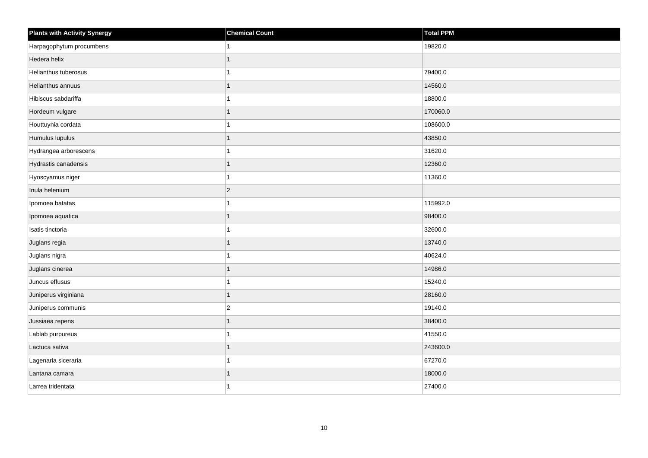| Plants with Activity Synergy | <b>Chemical Count</b> | Total PPM |
|------------------------------|-----------------------|-----------|
| Harpagophytum procumbens     |                       | 19820.0   |
| Hedera helix                 | 1                     |           |
| Helianthus tuberosus         |                       | 79400.0   |
| Helianthus annuus            |                       | 14560.0   |
| Hibiscus sabdariffa          |                       | 18800.0   |
| Hordeum vulgare              |                       | 170060.0  |
| Houttuynia cordata           |                       | 108600.0  |
| Humulus lupulus              | 1                     | 43850.0   |
| Hydrangea arborescens        |                       | 31620.0   |
| Hydrastis canadensis         | 1                     | 12360.0   |
| Hyoscyamus niger             |                       | 11360.0   |
| Inula helenium               | $ 2\rangle$           |           |
| Ipomoea batatas              | 1                     | 115992.0  |
| Ipomoea aquatica             | 1                     | 98400.0   |
| Isatis tinctoria             |                       | 32600.0   |
| Juglans regia                | 1                     | 13740.0   |
| Juglans nigra                |                       | 40624.0   |
| Juglans cinerea              |                       | 14986.0   |
| Juncus effusus               | 1                     | 15240.0   |
| Juniperus virginiana         | 1                     | 28160.0   |
| Juniperus communis           | $\overline{2}$        | 19140.0   |
| Jussiaea repens              | $\mathbf{1}$          | 38400.0   |
| Lablab purpureus             |                       | 41550.0   |
| Lactuca sativa               |                       | 243600.0  |
| Lagenaria siceraria          | 1                     | 67270.0   |
| Lantana camara               |                       | 18000.0   |
| Larrea tridentata            |                       | 27400.0   |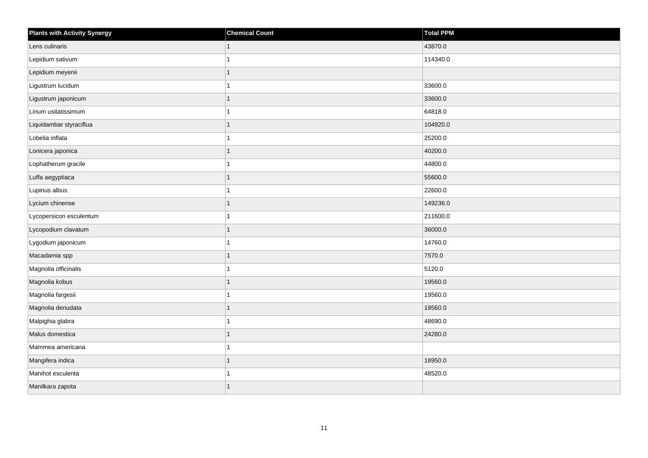| <b>Plants with Activity Synergy</b> | <b>Chemical Count</b> | Total PPM |
|-------------------------------------|-----------------------|-----------|
| Lens culinaris                      |                       | 43870.0   |
| Lepidium sativum                    |                       | 114340.0  |
| Lepidium meyenii                    |                       |           |
| Ligustrum lucidum                   |                       | 33600.0   |
| Ligustrum japonicum                 |                       | 33600.0   |
| Linum usitatissimum                 |                       | 64818.0   |
| Liquidambar styraciflua             |                       | 104920.0  |
| Lobelia inflata                     |                       | 25200.0   |
| Lonicera japonica                   |                       | 40200.0   |
| Lophatherum gracile                 |                       | 44800.0   |
| Luffa aegyptiaca                    |                       | 55600.0   |
| Lupinus albus                       |                       | 22600.0   |
| Lycium chinense                     |                       | 149236.0  |
| Lycopersicon esculentum             |                       | 211600.0  |
| Lycopodium clavatum                 |                       | 36000.0   |
| Lygodium japonicum                  |                       | 14760.0   |
| Macadamia spp                       |                       | 7570.0    |
| Magnolia officinalis                |                       | 5120.0    |
| Magnolia kobus                      | 1                     | 19560.0   |
| Magnolia fargesii                   |                       | 19560.0   |
| Magnolia denudata                   |                       | 19560.0   |
| Malpighia glabra                    |                       | 48690.0   |
| Malus domestica                     |                       | 24280.0   |
| Mammea americana                    |                       |           |
| Mangifera indica                    | 1                     | 18950.0   |
| Manihot esculenta                   |                       | 48520.0   |
| Manilkara zapota                    |                       |           |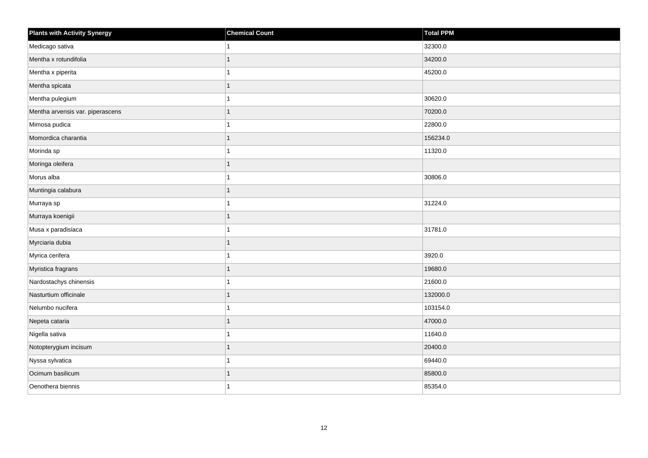| <b>Plants with Activity Synergy</b> | <b>Chemical Count</b> | Total PPM |
|-------------------------------------|-----------------------|-----------|
| Medicago sativa                     | 1                     | 32300.0   |
| Mentha x rotundifolia               | 1                     | 34200.0   |
| Mentha x piperita                   | 1                     | 45200.0   |
| Mentha spicata                      | 1                     |           |
| Mentha pulegium                     | 1                     | 30620.0   |
| Mentha arvensis var. piperascens    | 1                     | 70200.0   |
| Mimosa pudica                       | $\overline{1}$        | 22800.0   |
| Momordica charantia                 | 1                     | 156234.0  |
| Morinda sp                          | 1                     | 11320.0   |
| Moringa oleifera                    | 1                     |           |
| Morus alba                          | 1                     | 30806.0   |
| Muntingia calabura                  | $\mathbf{1}$          |           |
| Murraya sp                          | $\overline{1}$        | 31224.0   |
| Murraya koenigii                    | 1                     |           |
| Musa x paradisiaca                  | 1                     | 31781.0   |
| Myrciaria dubia                     | 1                     |           |
| Myrica cerifera                     | 1                     | 3920.0    |
| Myristica fragrans                  | 1                     | 19680.0   |
| Nardostachys chinensis              | $\mathbf{1}$          | 21600.0   |
| Nasturtium officinale               | 1                     | 132000.0  |
| Nelumbo nucifera                    | 1                     | 103154.0  |
| Nepeta cataria                      | $\overline{1}$        | 47000.0   |
| Nigella sativa                      | 1                     | 11640.0   |
| Notopterygium incisum               | 1                     | 20400.0   |
| Nyssa sylvatica                     | $\mathbf{1}$          | 69440.0   |
| Ocimum basilicum                    | 1                     | 85800.0   |
| Oenothera biennis                   | 1                     | 85354.0   |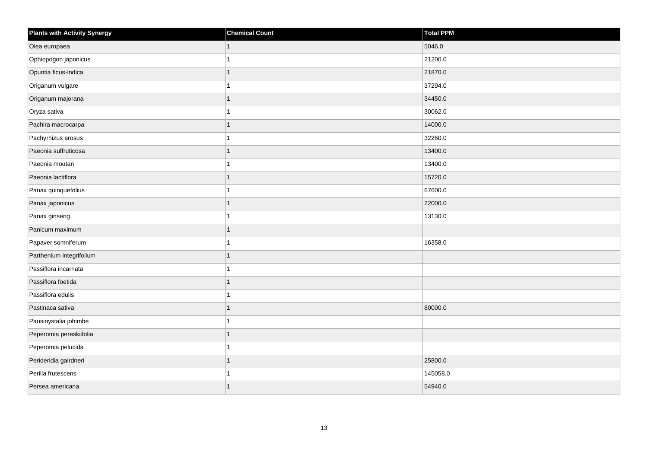| <b>Plants with Activity Synergy</b> | <b>Chemical Count</b> | Total PPM |
|-------------------------------------|-----------------------|-----------|
| Olea europaea                       |                       | 5046.0    |
| Ophiopogon japonicus                |                       | 21200.0   |
| Opuntia ficus-indica                |                       | 21870.0   |
| Origanum vulgare                    |                       | 37294.0   |
| Origanum majorana                   |                       | 34450.0   |
| Oryza sativa                        |                       | 30062.0   |
| Pachira macrocarpa                  |                       | 14000.0   |
| Pachyrhizus erosus                  |                       | 32260.0   |
| Paeonia suffruticosa                |                       | 13400.0   |
| Paeonia moutan                      |                       | 13400.0   |
| Paeonia lactiflora                  | 1                     | 15720.0   |
| Panax quinquefolius                 |                       | 67600.0   |
| Panax japonicus                     |                       | 22000.0   |
| Panax ginseng                       |                       | 13130.0   |
| Panicum maximum                     |                       |           |
| Papaver somniferum                  |                       | 16358.0   |
| Parthenium integrifolium            |                       |           |
| Passiflora incarnata                |                       |           |
| Passiflora foetida                  | 1                     |           |
| Passiflora edulis                   |                       |           |
| Pastinaca sativa                    |                       | 80000.0   |
| Pausinystalia johimbe               |                       |           |
| Peperomia pereskiifolia             |                       |           |
| Peperomia pelucida                  |                       |           |
| Perideridia gairdneri               | 1                     | 25800.0   |
| Perilla frutescens                  |                       | 145058.0  |
| Persea americana                    |                       | 54940.0   |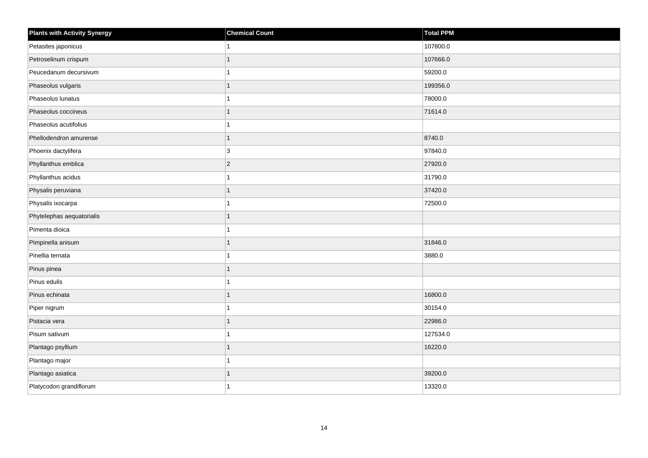| <b>Plants with Activity Synergy</b> | <b>Chemical Count</b> | <b>Total PPM</b> |
|-------------------------------------|-----------------------|------------------|
| Petasites japonicus                 | $\mathbf{1}$          | 107800.0         |
| Petroselinum crispum                | $\mathbf{1}$          | 107666.0         |
| Peucedanum decursivum               | $\mathbf{1}$          | 59200.0          |
| Phaseolus vulgaris                  | $\mathbf{1}$          | 199356.0         |
| Phaseolus lunatus                   | $\overline{1}$        | 78000.0          |
| Phaseolus coccineus                 | $\overline{1}$        | 71614.0          |
| Phaseolus acutifolius               | $\mathbf{1}$          |                  |
| Phellodendron amurense              | $\mathbf{1}$          | 8740.0           |
| Phoenix dactylifera                 | 3                     | 97840.0          |
| Phyllanthus emblica                 | $\vert$ 2             | 27920.0          |
| Phyllanthus acidus                  | $\mathbf{1}$          | 31790.0          |
| Physalis peruviana                  | $\mathbf{1}$          | 37420.0          |
| Physalis ixocarpa                   | $\mathbf{1}$          | 72500.0          |
| Phytelephas aequatorialis           | $\mathbf{1}$          |                  |
| Pimenta dioica                      | 1                     |                  |
| Pimpinella anisum                   | $\mathbf{1}$          | 31846.0          |
| Pinellia ternata                    | $\overline{1}$        | 3880.0           |
| Pinus pinea                         | $\overline{1}$        |                  |
| Pinus edulis                        | $\mathbf{1}$          |                  |
| Pinus echinata                      | $\mathbf{1}$          | 16800.0          |
| Piper nigrum                        | 1                     | 30154.0          |
| Pistacia vera                       | $\mathbf{1}$          | 22986.0          |
| Pisum sativum                       | 1                     | 127534.0         |
| Plantago psyllium                   | $\overline{1}$        | 16220.0          |
| Plantago major                      | $\mathbf{1}$          |                  |
| Plantago asiatica                   | $\mathbf{1}$          | 39200.0          |
| Platycodon grandiflorum             | $\mathbf 1$           | 13320.0          |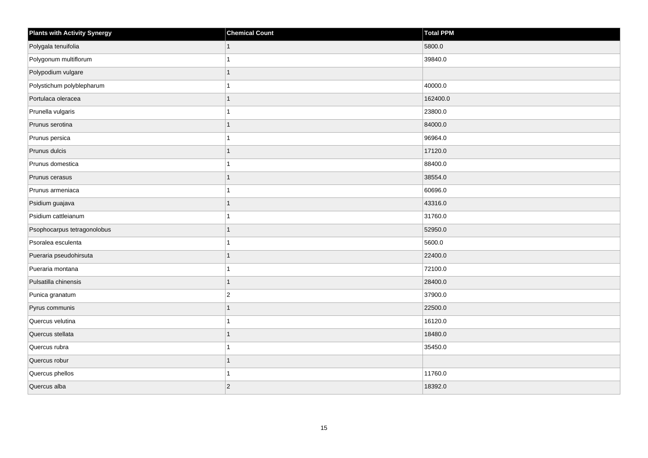| <b>Plants with Activity Synergy</b> | <b>Chemical Count</b> | Total PPM |
|-------------------------------------|-----------------------|-----------|
| Polygala tenuifolia                 |                       | 5800.0    |
| Polygonum multiflorum               |                       | 39840.0   |
| Polypodium vulgare                  |                       |           |
| Polystichum polyblepharum           |                       | 40000.0   |
| Portulaca oleracea                  |                       | 162400.0  |
| Prunella vulgaris                   |                       | 23800.0   |
| Prunus serotina                     | 1                     | 84000.0   |
| Prunus persica                      |                       | 96964.0   |
| Prunus dulcis                       |                       | 17120.0   |
| Prunus domestica                    |                       | 88400.0   |
| Prunus cerasus                      |                       | 38554.0   |
| Prunus armeniaca                    |                       | 60696.0   |
| Psidium guajava                     | 1                     | 43316.0   |
| Psidium cattleianum                 |                       | 31760.0   |
| Psophocarpus tetragonolobus         |                       | 52950.0   |
| Psoralea esculenta                  |                       | 5600.0    |
| Pueraria pseudohirsuta              |                       | 22400.0   |
| Pueraria montana                    |                       | 72100.0   |
| Pulsatilla chinensis                | 1                     | 28400.0   |
| Punica granatum                     | $\overline{2}$        | 37900.0   |
| Pyrus communis                      |                       | 22500.0   |
| Quercus velutina                    |                       | 16120.0   |
| Quercus stellata                    |                       | 18480.0   |
| Quercus rubra                       |                       | 35450.0   |
| Quercus robur                       | 1                     |           |
| Quercus phellos                     |                       | 11760.0   |
| Quercus alba                        | $\overline{c}$        | 18392.0   |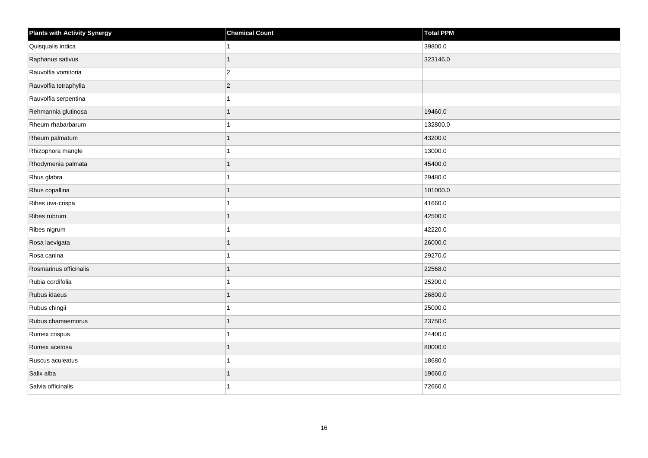| <b>Plants with Activity Synergy</b> | <b>Chemical Count</b> | Total PPM |
|-------------------------------------|-----------------------|-----------|
| Quisqualis indica                   |                       | 39800.0   |
| Raphanus sativus                    |                       | 323146.0  |
| Rauvolfia vomitoria                 | $\overline{c}$        |           |
| Rauvolfia tetraphylla               | $\overline{2}$        |           |
| Rauvolfia serpentina                |                       |           |
| Rehmannia glutinosa                 |                       | 19460.0   |
| Rheum rhabarbarum                   |                       | 132800.0  |
| Rheum palmatum                      | 1                     | 43200.0   |
| Rhizophora mangle                   |                       | 13000.0   |
| Rhodymenia palmata                  |                       | 45400.0   |
| Rhus glabra                         |                       | 29480.0   |
| Rhus copallina                      |                       | 101000.0  |
| Ribes uva-crispa                    |                       | 41660.0   |
| Ribes rubrum                        | 1                     | 42500.0   |
| Ribes nigrum                        |                       | 42220.0   |
| Rosa laevigata                      | 1                     | 26000.0   |
| Rosa canina                         |                       | 29270.0   |
| Rosmarinus officinalis              |                       | 22568.0   |
| Rubia cordifolia                    |                       | 25200.0   |
| Rubus idaeus                        |                       | 26800.0   |
| Rubus chingii                       |                       | 25000.0   |
| Rubus chamaemorus                   | 1                     | 23750.0   |
| Rumex crispus                       |                       | 24400.0   |
| Rumex acetosa                       |                       | 80000.0   |
| Ruscus aculeatus                    |                       | 18680.0   |
| Salix alba                          |                       | 19660.0   |
| Salvia officinalis                  |                       | 72660.0   |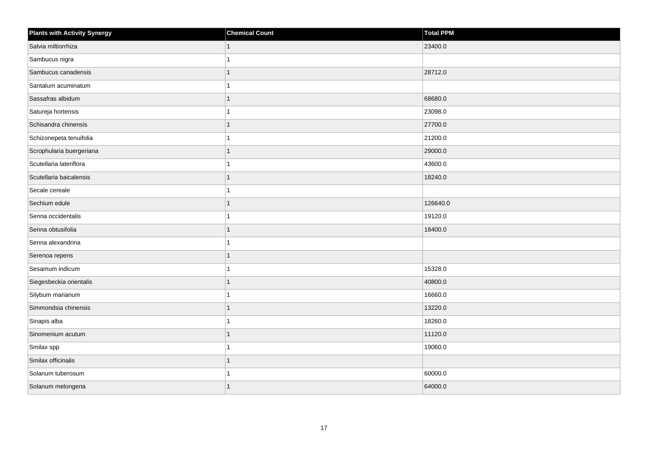| <b>Plants with Activity Synergy</b> | <b>Chemical Count</b> | Total PPM |
|-------------------------------------|-----------------------|-----------|
| Salvia miltiorrhiza                 |                       | 23400.0   |
| Sambucus nigra                      |                       |           |
| Sambucus canadensis                 |                       | 28712.0   |
| Santalum acuminatum                 |                       |           |
| Sassafras albidum                   |                       | 68680.0   |
| Satureja hortensis                  |                       | 23098.0   |
| Schisandra chinensis                |                       | 27700.0   |
| Schizonepeta tenuifolia             |                       | 21200.0   |
| Scrophularia buergeriana            |                       | 29000.0   |
| Scutellaria lateriflora             |                       | 43600.0   |
| Scutellaria baicalensis             |                       | 18240.0   |
| Secale cereale                      |                       |           |
| Sechium edule                       |                       | 126640.0  |
| Senna occidentalis                  |                       | 19120.0   |
| Senna obtusifolia                   |                       | 18400.0   |
| Senna alexandrina                   |                       |           |
| Serenoa repens                      |                       |           |
| Sesamum indicum                     |                       | 15328.0   |
| Siegesbeckia orientalis             |                       | 40800.0   |
| Silybum marianum                    |                       | 16660.0   |
| Simmondsia chinensis                |                       | 13220.0   |
| Sinapis alba                        |                       | 18260.0   |
| Sinomenium acutum                   |                       | 11120.0   |
| Smilax spp                          |                       | 19060.0   |
| Smilax officinalis                  | 1                     |           |
| Solanum tuberosum                   |                       | 60000.0   |
| Solanum melongena                   |                       | 64000.0   |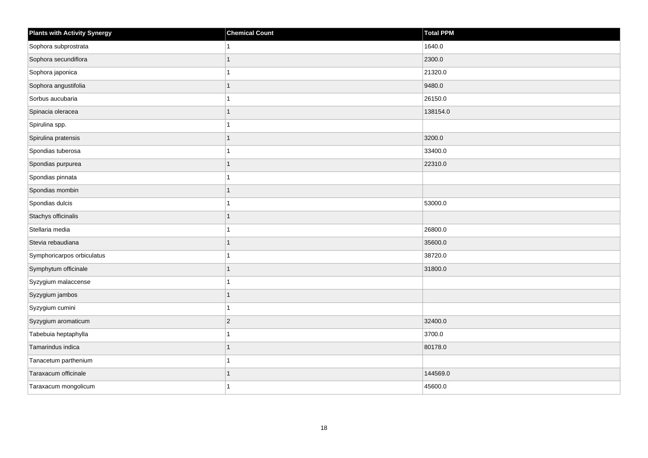| <b>Plants with Activity Synergy</b> | <b>Chemical Count</b> | Total PPM |
|-------------------------------------|-----------------------|-----------|
| Sophora subprostrata                |                       | 1640.0    |
| Sophora secundiflora                |                       | 2300.0    |
| Sophora japonica                    |                       | 21320.0   |
| Sophora angustifolia                |                       | 9480.0    |
| Sorbus aucubaria                    |                       | 26150.0   |
| Spinacia oleracea                   |                       | 138154.0  |
| Spirulina spp.                      |                       |           |
| Spirulina pratensis                 |                       | 3200.0    |
| Spondias tuberosa                   |                       | 33400.0   |
| Spondias purpurea                   |                       | 22310.0   |
| Spondias pinnata                    |                       |           |
| Spondias mombin                     |                       |           |
| Spondias dulcis                     |                       | 53000.0   |
| Stachys officinalis                 |                       |           |
| Stellaria media                     |                       | 26800.0   |
| Stevia rebaudiana                   |                       | 35600.0   |
| Symphoricarpos orbiculatus          |                       | 38720.0   |
| Symphytum officinale                |                       | 31800.0   |
| Syzygium malaccense                 |                       |           |
| Syzygium jambos                     |                       |           |
| Syzygium cumini                     |                       |           |
| Syzygium aromaticum                 | $\overline{c}$        | 32400.0   |
| Tabebuia heptaphylla                |                       | 3700.0    |
| Tamarindus indica                   |                       | 80178.0   |
| Tanacetum parthenium                |                       |           |
| Taraxacum officinale                |                       | 144569.0  |
| Taraxacum mongolicum                |                       | 45600.0   |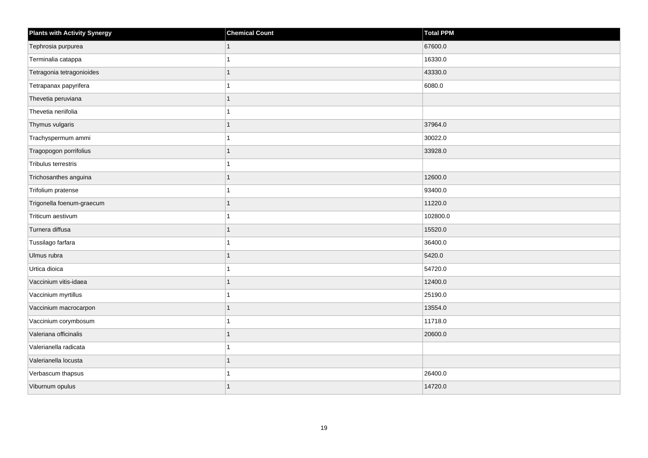| <b>Plants with Activity Synergy</b> | <b>Chemical Count</b> | Total PPM |
|-------------------------------------|-----------------------|-----------|
| Tephrosia purpurea                  | 1                     | 67600.0   |
| Terminalia catappa                  |                       | 16330.0   |
| Tetragonia tetragonioides           | $\overline{1}$        | 43330.0   |
| Tetrapanax papyrifera               | 1                     | 6080.0    |
| Thevetia peruviana                  | 1                     |           |
| Thevetia neriifolia                 |                       |           |
| Thymus vulgaris                     | $\overline{1}$        | 37964.0   |
| Trachyspermum ammi                  |                       | 30022.0   |
| Tragopogon porrifolius              |                       | 33928.0   |
| Tribulus terrestris                 | 1                     |           |
| Trichosanthes anguina               | 1                     | 12600.0   |
| Trifolium pratense                  |                       | 93400.0   |
| Trigonella foenum-graecum           | $\overline{1}$        | 11220.0   |
| Triticum aestivum                   |                       | 102800.0  |
| Turnera diffusa                     | 1                     | 15520.0   |
| Tussilago farfara                   | 1                     | 36400.0   |
| Ulmus rubra                         | 1                     | 5420.0    |
| Urtica dioica                       |                       | 54720.0   |
| Vaccinium vitis-idaea               | $\overline{1}$        | 12400.0   |
| Vaccinium myrtillus                 |                       | 25190.0   |
| Vaccinium macrocarpon               | 1                     | 13554.0   |
| Vaccinium corymbosum                | $\overline{1}$        | 11718.0   |
| Valeriana officinalis               | 1                     | 20600.0   |
| Valerianella radicata               |                       |           |
| Valerianella locusta                | $\overline{1}$        |           |
| Verbascum thapsus                   |                       | 26400.0   |
| Viburnum opulus                     | $\overline{1}$        | 14720.0   |